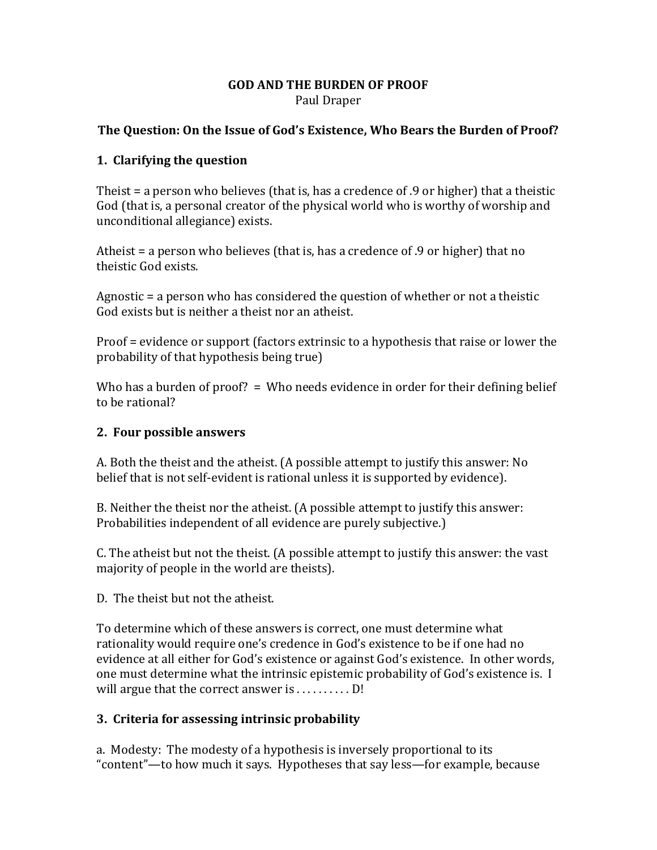#### **GOD AND THE BURDEN OF PROOF** Paul Draper

### **The Question: On the Issue of God's Existence, Who Bears the Burden of Proof?**

#### **1. Clarifying the question**

Theist = a person who believes (that is, has a credence of .9 or higher) that a theistic God (that is, a personal creator of the physical world who is worthy of worship and unconditional allegiance) exists.

Atheist = a person who believes (that is, has a credence of .9 or higher) that no theistic God exists.

Agnostic = a person who has considered the question of whether or not a theistic God exists but is neither a theist nor an atheist.

Proof = evidence or support (factors extrinsic to a hypothesis that raise or lower the probability of that hypothesis being true)

Who has a burden of proof?  $=$  Who needs evidence in order for their defining belief to be rational?

#### **2. Four possible answers**

A. Both the theist and the atheist. (A possible attempt to justify this answer: No belief that is not self-evident is rational unless it is supported by evidence).

B. Neither the theist nor the atheist. (A possible attempt to justify this answer: Probabilities independent of all evidence are purely subjective.)

C. The atheist but not the theist. (A possible attempt to justify this answer: the vast majority of people in the world are theists).

D. The theist but not the atheist.

To determine which of these answers is correct, one must determine what rationality would require one's credence in God's existence to be if one had no evidence at all either for God's existence or against God's existence. In other words, one must determine what the intrinsic epistemic probability of God's existence is. I will argue that the correct answer is . . . . . . . . . D!

### **3. Criteria for assessing intrinsic probability**

a. Modesty: The modesty of a hypothesis is inversely proportional to its "content"—to how much it says. Hypotheses that say less—for example, because